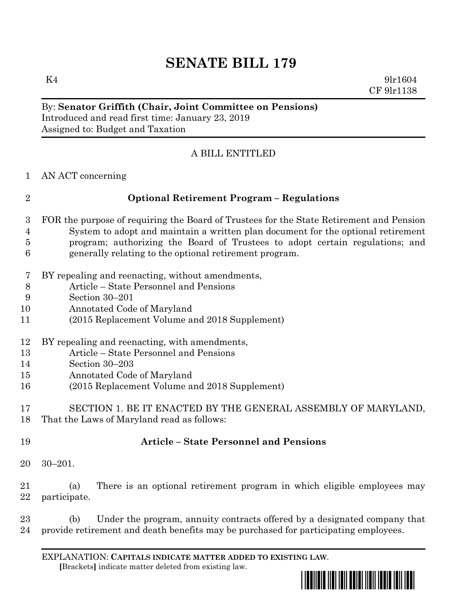## **SENATE BILL 179**

 $K4$  9lr1604 CF 9lr1138

## By: **Senator Griffith (Chair, Joint Committee on Pensions)** Introduced and read first time: January 23, 2019 Assigned to: Budget and Taxation

## A BILL ENTITLED

AN ACT concerning

| $\overline{2}$ | <b>Optional Retirement Program - Regulations</b>                                        |
|----------------|-----------------------------------------------------------------------------------------|
| 3              | FOR the purpose of requiring the Board of Trustees for the State Retirement and Pension |
| 4              | System to adopt and maintain a written plan document for the optional retirement        |
| 5              | program; authorizing the Board of Trustees to adopt certain regulations; and            |
| 6              | generally relating to the optional retirement program.                                  |
| 7              | BY repealing and reenacting, without amendments,                                        |
| 8              | Article – State Personnel and Pensions                                                  |
| 9              | Section 30-201                                                                          |
| 10             | Annotated Code of Maryland                                                              |
| 11             | (2015 Replacement Volume and 2018 Supplement)                                           |
| 12             | BY repealing and reenacting, with amendments,                                           |
| 13             | Article – State Personnel and Pensions                                                  |
| 14             | Section 30-203                                                                          |
| 15             | Annotated Code of Maryland                                                              |
| 16             | (2015 Replacement Volume and 2018 Supplement)                                           |
| 17             | SECTION 1. BE IT ENACTED BY THE GENERAL ASSEMBLY OF MARYLAND,                           |
| 18             | That the Laws of Maryland read as follows:                                              |
| 19             | <b>Article – State Personnel and Pensions</b>                                           |

30–201.

 (a) There is an optional retirement program in which eligible employees may participate.

 (b) Under the program, annuity contracts offered by a designated company that provide retirement and death benefits may be purchased for participating employees.

EXPLANATION: **CAPITALS INDICATE MATTER ADDED TO EXISTING LAW**.  **[**Brackets**]** indicate matter deleted from existing law.